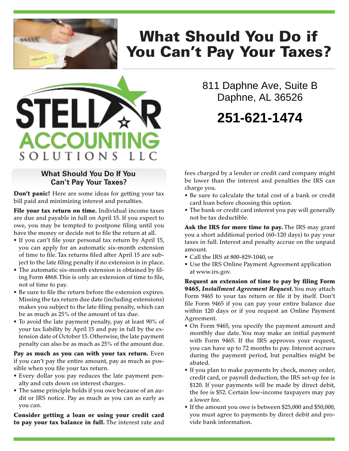

# What Should You Do if You Can't Pay Your Taxes?



#### **What Should You Do If You Can't Pay Your Taxes?**

**Don't panic!** Here are some ideas for getting your tax bill paid and minimizing interest and penalties.

File your tax return on time. Individual income taxes are due and payable in full on April 15. If you expect to owe, you may be tempted to postpone filing until you have the money or decide not to file the return at all.

- If you can't file your personal tax return by April 15, you can apply for an automatic six-month extension of time to file. Tax returns filed after April 15 are subject to the late filing penalty if no extension is in place.
- The automatic six-month extension is obtained by filing Form 4868. This is only an extension of time to file, not of time to pay.
- Be sure to file the return before the extension expires. Missing the tax return due date (including extensions) makes you subject to the late filing penalty, which can be as much as 25% of the amount of tax due.
- To avoid the late payment penalty, pay at least 90% of your tax liability by April 15 and pay in full by the extension date of October 15. Otherwise, the late payment penalty can also be as much as 25% of the amount due.

Pay as much as you can with your tax return. Even if you can't pay the entire amount, pay as much as possible when you file your tax return.

- Every dollar you pay reduces the late payment penalty and cuts down on interest charges.
- The same principle holds if you owe because of an audit or IRS notice. Pay as much as you can as early as you can.

Consider getting a loan or using your credit card to pay your tax balance in full. The interest rate and 811 Daphne Ave, Suite B Daphne, AL 36526

## **251-621-1474**

fees charged by a lender or credit card company might be lower than the interest and penalties the IRS can charge you.

- Be sure to calculate the total cost of a bank or credit card loan before choosing this option.
- The bank or credit card interest you pay will generally not be tax deductible.

Ask the IRS for more time to pay. The IRS may grant you a short additional period (60–120 days) to pay your taxes in full. Interest and penalty accrue on the unpaid amount.

- Call the IRS at 800-829-1040, or
- Use the IRS Online Payment Agreement application at www.irs.gov.

Request an extension of time to pay by filing Form 9465, *Installment Agreement Request.* You may attach Form 9465 to your tax return or file it by itself. Don't file Form 9465 if you can pay your entire balance due within 120 days or if you request an Online Payment Agreement.

- On Form 9465, you specify the payment amount and monthly due date. You may make an initial payment with Form 9465. If the IRS approves your request, you can have up to 72 months to pay. Interest accrues during the payment period, but penalties might be abated.
- If you plan to make payments by check, money order, credit card, or payroll deduction, the IRS set-up fee is \$120. If your payments will be made by direct debit, the fee is \$52. Certain low-income taxpayers may pay a lower fee.
- If the amount you owe is between \$25,000 and \$50,000, you must agree to payments by direct debit and provide bank information.